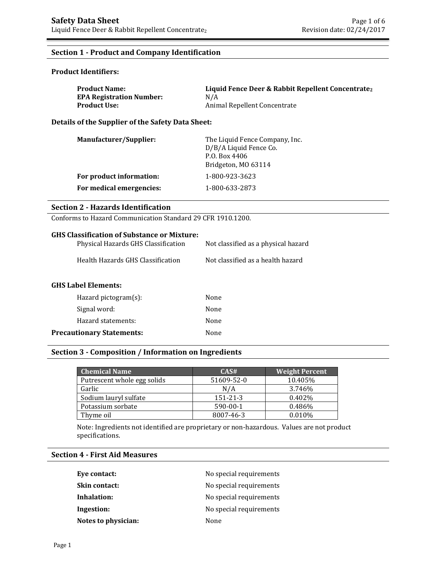# **Section 1 - Product and Company Identification**

# **Product Identifiers:**

| <b>Product Name:</b>            | Liquid Fence Deer & Rabbit Repellent Concentrate <sub>2</sub> |
|---------------------------------|---------------------------------------------------------------|
| <b>EPA Registration Number:</b> | N/A                                                           |
| Product Use: .                  | Animal Repellent Concentrate                                  |

**Details of the Supplier of the Safety Data Sheet:**

| <b>Manufacturer/Supplier:</b> | The Liquid Fence Company, Inc.<br>D/B/A Liquid Fence Co.<br>P.O. Box 4406<br>Bridgeton, MO 63114 |
|-------------------------------|--------------------------------------------------------------------------------------------------|
| For product information:      | 1-800-923-3623                                                                                   |
| For medical emergencies:      | 1-800-633-2873                                                                                   |

### **Section 2 - Hazards Identification**

Conforms to Hazard Communication Standard 29 CFR 1910.1200.

# **GHS Classification of Substance or Mixture:**

| Physical Hazards GHS Classification | Not classified as a physical hazard |
|-------------------------------------|-------------------------------------|
| Health Hazards GHS Classification   | Not classified as a health hazard   |

### **GHS Label Elements:**

| Hazard pictogram $(s)$ :         | None |
|----------------------------------|------|
| Signal word:                     | None |
| Hazard statements:               | None |
| <b>Precautionary Statements:</b> | None |

## **Section 3 - Composition / Information on Ingredients**

| <b>Chemical Name</b>        | CAS#           | <b>Weight Percent</b> |
|-----------------------------|----------------|-----------------------|
| Putrescent whole egg solids | 51609-52-0     | 10.405%               |
| Garlic                      | N/A            | 3.746%                |
| Sodium lauryl sulfate       | $151 - 21 - 3$ | $0.402\%$             |
| Potassium sorbate           | $590-00-1$     | 0.486%                |
| Thyme oil                   | 8007-46-3      | 0.010%                |

Note: Ingredients not identified are proprietary or non-hazardous. Values are not product specifications.

# **Section 4 - First Aid Measures**

| Eye contact:        | No special requirements |
|---------------------|-------------------------|
| Skin contact:       | No special requirements |
| Inhalation:         | No special requirements |
| Ingestion:          | No special requirements |
| Notes to physician: | None                    |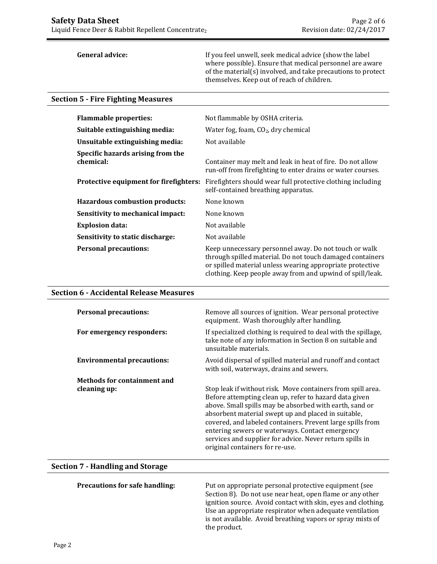General advice: **If** you feel unwell, seek medical advice (show the label where possible). Ensure that medical personnel are aware of the material(s) involved, and take precautions to protect themselves. Keep out of reach of children.

#### **Section 5 - Fire Fighting Measures**

| <b>Flammable properties:</b>                   | Not flammable by OSHA criteria.                                                                                                                                                                                                              |  |
|------------------------------------------------|----------------------------------------------------------------------------------------------------------------------------------------------------------------------------------------------------------------------------------------------|--|
| Suitable extinguishing media:                  | Water fog, foam, $CO2$ , dry chemical                                                                                                                                                                                                        |  |
| Unsuitable extinguishing media:                | Not available                                                                                                                                                                                                                                |  |
| Specific hazards arising from the<br>chemical: | Container may melt and leak in heat of fire. Do not allow<br>run-off from firefighting to enter drains or water courses.                                                                                                                     |  |
| Protective equipment for firefighters:         | Firefighters should wear full protective clothing including<br>self-contained breathing apparatus.                                                                                                                                           |  |
| <b>Hazardous combustion products:</b>          | None known                                                                                                                                                                                                                                   |  |
| Sensitivity to mechanical impact:              | None known                                                                                                                                                                                                                                   |  |
| <b>Explosion data:</b>                         | Not available                                                                                                                                                                                                                                |  |
| Sensitivity to static discharge:               | Not available                                                                                                                                                                                                                                |  |
| <b>Personal precautions:</b>                   | Keep unnecessary personnel away. Do not touch or walk<br>through spilled material. Do not touch damaged containers<br>or spilled material unless wearing appropriate protective<br>clothing. Keep people away from and upwind of spill/leak. |  |

### **Section 6 - Accidental Release Measures**

| <b>Personal precautions:</b>       | Remove all sources of ignition. Wear personal protective<br>equipment. Wash thoroughly after handling.                                                                                                                                                                                                                                                                                                                                                  |
|------------------------------------|---------------------------------------------------------------------------------------------------------------------------------------------------------------------------------------------------------------------------------------------------------------------------------------------------------------------------------------------------------------------------------------------------------------------------------------------------------|
| For emergency responders:          | If specialized clothing is required to deal with the spillage,<br>take note of any information in Section 8 on suitable and<br>unsuitable materials.                                                                                                                                                                                                                                                                                                    |
| <b>Environmental precautions:</b>  | Avoid dispersal of spilled material and runoff and contact<br>with soil, waterways, drains and sewers.                                                                                                                                                                                                                                                                                                                                                  |
| <b>Methods for containment and</b> |                                                                                                                                                                                                                                                                                                                                                                                                                                                         |
| cleaning up:                       | Stop leak if without risk. Move containers from spill area.<br>Before attempting clean up, refer to hazard data given<br>above. Small spills may be absorbed with earth, sand or<br>absorbent material swept up and placed in suitable,<br>covered, and labeled containers. Prevent large spills from<br>entering sewers or waterways. Contact emergency<br>services and supplier for advice. Never return spills in<br>original containers for re-use. |

## **Section 7 - Handling and Storage**

**Precautions for safe handling:** Put on appropriate personal protective equipment (see Section 8). Do not use near heat, open flame or any other ignition source. Avoid contact with skin, eyes and clothing. Use an appropriate respirator when adequate ventilation is not available. Avoid breathing vapors or spray mists of the product.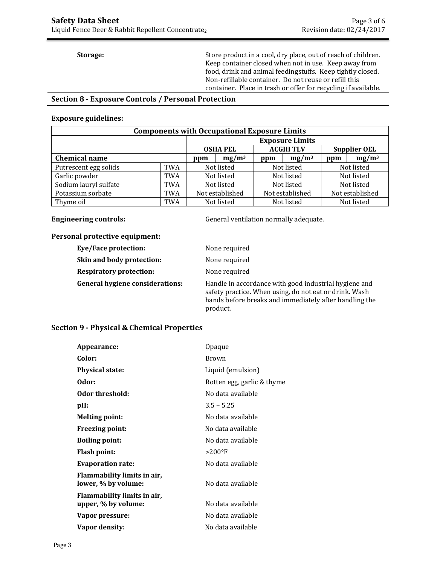**Storage:** Store product in a cool, dry place, out of reach of children. Keep container closed when not in use. Keep away from food, drink and animal feedingstuffs. Keep tightly closed. Non-refillable container. Do not reuse or refill this container. Place in trash or offer for recycling if available.

# **Section 8 - Exposure Controls / Personal Protection**

#### **Exposure guidelines:**

| <b>Components with Occupational Exposure Limits</b> |            |                                                            |  |            |                 |            |                 |  |            |
|-----------------------------------------------------|------------|------------------------------------------------------------|--|------------|-----------------|------------|-----------------|--|------------|
|                                                     |            | <b>Exposure Limits</b>                                     |  |            |                 |            |                 |  |            |
|                                                     |            | <b>ACGIH TLV</b><br><b>Supplier OEL</b><br><b>OSHA PEL</b> |  |            |                 |            |                 |  |            |
| <b>Chemical name</b>                                |            | $mg/m^3$<br>ppm                                            |  | ppm        | $mg/m^3$        | ppm        | $mg/m^3$        |  |            |
| Putrescent egg solids                               | <b>TWA</b> | Not listed                                                 |  | Not listed |                 | Not listed |                 |  |            |
| Garlic powder                                       | <b>TWA</b> | Not listed                                                 |  | Not listed |                 |            | Not listed      |  |            |
| Sodium lauryl sulfate                               | TWA        | Not listed                                                 |  |            | Not listed      |            | Not listed      |  |            |
| Potassium sorbate                                   | TWA        | Not established                                            |  |            | Not established |            | Not established |  |            |
| Thyme oil                                           | TWA        | Not listed                                                 |  |            |                 |            | Not listed      |  | Not listed |

**Engineering controls:** General ventilation normally adequate.

# **Personal protective equipment:**

| Eye/Face protection:                   | None required                                                                                                                                                                         |
|----------------------------------------|---------------------------------------------------------------------------------------------------------------------------------------------------------------------------------------|
| Skin and body protection:              | None required                                                                                                                                                                         |
| <b>Respiratory protection:</b>         | None required                                                                                                                                                                         |
| <b>General hygiene considerations:</b> | Handle in accordance with good industrial hygiene and<br>safety practice. When using, do not eat or drink. Wash<br>hands before breaks and immediately after handling the<br>product. |

# **Section 9 - Physical & Chemical Properties**

|                                                    | Opaque                     |
|----------------------------------------------------|----------------------------|
| Appearance:                                        |                            |
| Color:                                             | Brown                      |
| <b>Physical state:</b>                             | Liquid (emulsion)          |
| Odor:                                              | Rotten egg, garlic & thyme |
| Odor threshold:                                    | No data available          |
| pH:                                                | $3.5 - 5.25$               |
| <b>Melting point:</b>                              | No data available          |
| <b>Freezing point:</b>                             | No data available          |
| <b>Boiling point:</b>                              | No data available          |
| <b>Flash point:</b>                                | $>200^{\circ}$ F           |
| <b>Evaporation rate:</b>                           | No data available          |
| Flammability limits in air,<br>lower, % by volume: | No data available          |
| Flammability limits in air,<br>upper, % by volume: | No data available          |
| Vapor pressure:                                    | No data available          |
| Vapor density:                                     | No data available          |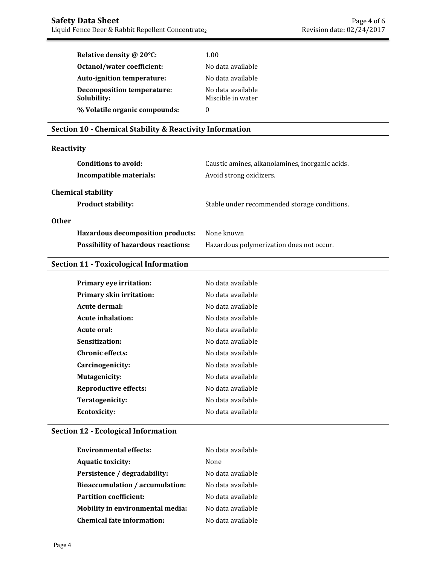| Relative density @ 20°C:                         | 1.00                                   |
|--------------------------------------------------|----------------------------------------|
| Octanol/water coefficient:                       | No data available                      |
| Auto-ignition temperature:                       | No data available                      |
| <b>Decomposition temperature:</b><br>Solubility: | No data available<br>Miscible in water |
| % Volatile organic compounds:                    | 0                                      |

# **Section 10 - Chemical Stability & Reactivity Information**

# **Reactivity**

| Conditions to avoid:<br>Incompatible materials:        | Caustic amines, alkanolamines, inorganic acids.<br>Avoid strong oxidizers. |
|--------------------------------------------------------|----------------------------------------------------------------------------|
| <b>Chemical stability</b><br><b>Product stability:</b> | Stable under recommended storage conditions.                               |
| <b>Other</b>                                           |                                                                            |
| Hazardous decomposition products:                      | None known                                                                 |
| <b>Possibility of hazardous reactions:</b>             | Hazardous polymerization does not occur.                                   |

# **Section 11 - Toxicological Information**

| Primary eye irritation:         | No data available |
|---------------------------------|-------------------|
| <b>Primary skin irritation:</b> | No data available |
| Acute dermal:                   | No data available |
| Acute inhalation:               | No data available |
| Acute oral:                     | No data available |
| Sensitization:                  | No data available |
| <b>Chronic effects:</b>         | No data available |
| Carcinogenicity:                | No data available |
| Mutagenicity:                   | No data available |
| <b>Reproductive effects:</b>    | No data available |
| Teratogenicity:                 | No data available |
| Ecotoxicity:                    | No data available |
|                                 |                   |

# **Section 12 - Ecological Information**

| <b>Environmental effects:</b>           | No data available |
|-----------------------------------------|-------------------|
| <b>Aquatic toxicity:</b>                | None              |
| Persistence / degradability:            | No data available |
| <b>Bioaccumulation / accumulation:</b>  | No data available |
| <b>Partition coefficient:</b>           | No data available |
| <b>Mobility in environmental media:</b> | No data available |
| <b>Chemical fate information:</b>       | No data available |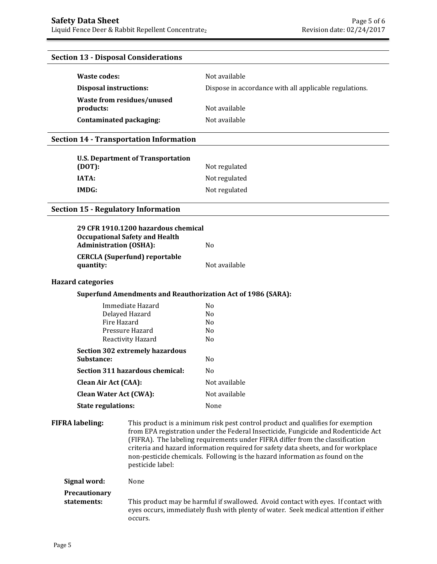# **Section 13 - Disposal Considerations**

| Waste codes:                            | Not available                                          |
|-----------------------------------------|--------------------------------------------------------|
| <b>Disposal instructions:</b>           | Dispose in accordance with all applicable regulations. |
| Waste from residues/unused<br>products: | Not available                                          |
| Contaminated packaging:                 | Not available                                          |

## **Section 14 - Transportation Information**

| U.S. Department of Transportation<br>(DOT): | Not regulated |
|---------------------------------------------|---------------|
| <b>IATA:</b>                                | Not regulated |
| IMDG:                                       | Not regulated |

# **Section 15 - Regulatory Information**

| <b>Administration (OSHA):</b> | 29 CFR 1910.1200 hazardous chemical<br><b>Occupational Safety and Health</b>                                                                                                                                                                                                                                                                                                                                                                     | N <sub>0</sub>                                                                                                                                                              |
|-------------------------------|--------------------------------------------------------------------------------------------------------------------------------------------------------------------------------------------------------------------------------------------------------------------------------------------------------------------------------------------------------------------------------------------------------------------------------------------------|-----------------------------------------------------------------------------------------------------------------------------------------------------------------------------|
| quantity:                     | <b>CERCLA (Superfund) reportable</b>                                                                                                                                                                                                                                                                                                                                                                                                             | Not available                                                                                                                                                               |
| <b>Hazard categories</b>      |                                                                                                                                                                                                                                                                                                                                                                                                                                                  |                                                                                                                                                                             |
|                               |                                                                                                                                                                                                                                                                                                                                                                                                                                                  | <b>Superfund Amendments and Reauthorization Act of 1986 (SARA):</b>                                                                                                         |
|                               | Immediate Hazard<br>Delayed Hazard<br>Fire Hazard<br>Pressure Hazard<br>Reactivity Hazard                                                                                                                                                                                                                                                                                                                                                        | N <sub>0</sub><br>N <sub>0</sub><br>N <sub>0</sub><br>N <sub>0</sub><br>N <sub>0</sub>                                                                                      |
| Substance:                    | <b>Section 302 extremely hazardous</b>                                                                                                                                                                                                                                                                                                                                                                                                           | N <sub>o</sub>                                                                                                                                                              |
|                               | Section 311 hazardous chemical:                                                                                                                                                                                                                                                                                                                                                                                                                  | N <sub>0</sub>                                                                                                                                                              |
| <b>Clean Air Act (CAA):</b>   |                                                                                                                                                                                                                                                                                                                                                                                                                                                  | Not available                                                                                                                                                               |
| <b>Clean Water Act (CWA):</b> |                                                                                                                                                                                                                                                                                                                                                                                                                                                  | Not available                                                                                                                                                               |
| <b>State regulations:</b>     |                                                                                                                                                                                                                                                                                                                                                                                                                                                  | None                                                                                                                                                                        |
| <b>FIFRA labeling:</b>        | This product is a minimum risk pest control product and qualifies for exemption<br>from EPA registration under the Federal Insecticide, Fungicide and Rodenticide Act<br>(FIFRA). The labeling requirements under FIFRA differ from the classification<br>criteria and hazard information required for safety data sheets, and for workplace<br>non-pesticide chemicals. Following is the hazard information as found on the<br>pesticide label: |                                                                                                                                                                             |
| Signal word:                  | None                                                                                                                                                                                                                                                                                                                                                                                                                                             |                                                                                                                                                                             |
| Precautionary<br>statements:  |                                                                                                                                                                                                                                                                                                                                                                                                                                                  | This product may be harmful if swallowed. Avoid contact with eyes. If contact with<br>eyes occurs, immediately flush with plenty of water. Seek medical attention if either |

occurs.